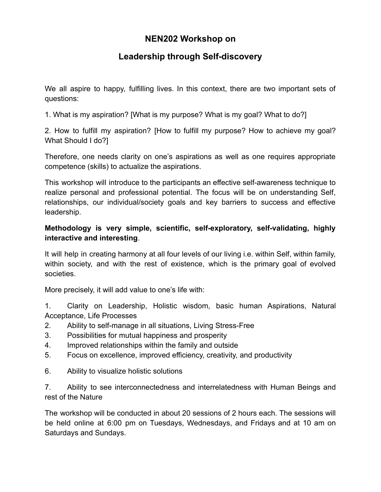# **NEN202 Workshop on**

# **Leadership through Self-discovery**

We all aspire to happy, fulfilling lives. In this context, there are two important sets of questions:

1. What is my aspiration? [What is my purpose? What is my goal? What to do?]

2. How to fulfill my aspiration? [How to fulfill my purpose? How to achieve my goal? What Should I do?]

Therefore, one needs clarity on one's aspirations as well as one requires appropriate competence (skills) to actualize the aspirations.

This workshop will introduce to the participants an effective self-awareness technique to realize personal and professional potential. The focus will be on understanding Self, relationships, our individual/society goals and key barriers to success and effective leadership.

## **Methodology is very simple, scientific, self-exploratory, self-validating, highly interactive and interesting**.

It will help in creating harmony at all four levels of our living i.e. within Self, within family, within society, and with the rest of existence, which is the primary goal of evolved societies.

More precisely, it will add value to one's life with:

1. Clarity on Leadership, Holistic wisdom, basic human Aspirations, Natural Acceptance, Life Processes

- 2. Ability to self-manage in all situations, Living Stress-Free
- 3. Possibilities for mutual happiness and prosperity
- 4. Improved relationships within the family and outside
- 5. Focus on excellence, improved efficiency, creativity, and productivity
- 6. Ability to visualize holistic solutions

7. Ability to see interconnectedness and interrelatedness with Human Beings and rest of the Nature

The workshop will be conducted in about 20 sessions of 2 hours each. The sessions will be held online at 6:00 pm on Tuesdays, Wednesdays, and Fridays and at 10 am on Saturdays and Sundays.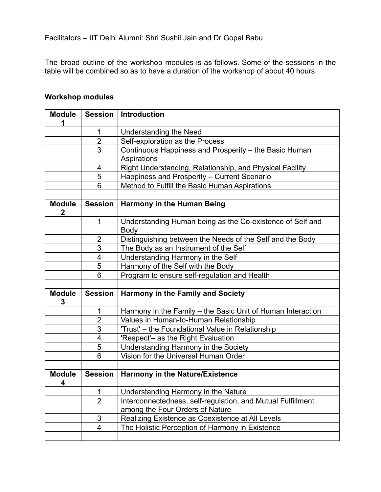Facilitators – IIT Delhi Alumni: Shri Sushil Jain and Dr Gopal Babu

The broad outline of the workshop modules is as follows. Some of the sessions in the table will be combined so as to have a duration of the workshop of about 40 hours.

| <b>Workshop modules</b> |
|-------------------------|
|-------------------------|

| <b>Module</b><br>1            | <b>Session</b>          | <b>Introduction</b>                                               |
|-------------------------------|-------------------------|-------------------------------------------------------------------|
|                               | 1                       | <b>Understanding the Need</b>                                     |
|                               | $\overline{2}$          | Self-exploration as the Process                                   |
|                               | $\overline{3}$          | Continuous Happiness and Prosperity - the Basic Human             |
|                               |                         | Aspirations                                                       |
|                               | 4                       | Right Understanding, Relationship, and Physical Facility          |
|                               | 5                       | Happiness and Prosperity - Current Scenario                       |
|                               | 6                       | Method to Fulfill the Basic Human Aspirations                     |
|                               |                         |                                                                   |
| <b>Module</b><br>$\mathbf{2}$ | <b>Session</b>          | <b>Harmony in the Human Being</b>                                 |
|                               | 1                       | Understanding Human being as the Co-existence of Self and<br>Body |
|                               | $\overline{2}$          | Distinguishing between the Needs of the Self and the Body         |
|                               | 3                       | The Body as an Instrument of the Self                             |
|                               | 4                       | Understanding Harmony in the Self                                 |
|                               | 5                       | Harmony of the Self with the Body                                 |
|                               | 6                       | Program to ensure self-regulation and Health                      |
|                               |                         |                                                                   |
| <b>Module</b><br>3            | <b>Session</b>          | <b>Harmony in the Family and Society</b>                          |
|                               | 1                       | Harmony in the Family - the Basic Unit of Human Interaction       |
|                               | $\overline{2}$          | Values in Human-to-Human Relationship                             |
|                               | 3                       | 'Trust' - the Foundational Value in Relationship                  |
|                               | $\overline{4}$          | 'Respect'- as the Right Evaluation                                |
|                               | 5                       | Understanding Harmony in the Society                              |
|                               | 6                       | Vision for the Universal Human Order                              |
|                               |                         |                                                                   |
| <b>Module</b><br>4            | <b>Session</b>          | <b>Harmony in the Nature/Existence</b>                            |
|                               | 1                       | Understanding Harmony in the Nature                               |
|                               | $\overline{2}$          | Interconnectedness, self-regulation, and Mutual Fulfillment       |
|                               |                         | among the Four Orders of Nature                                   |
|                               | 3                       | Realizing Existence as Coexistence at All Levels                  |
|                               | $\overline{\mathbf{4}}$ | The Holistic Perception of Harmony in Existence                   |
|                               |                         |                                                                   |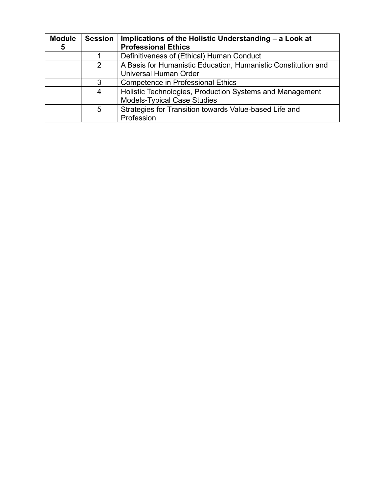| <b>Module</b> | <b>Session</b> | Implications of the Holistic Understanding - a Look at        |
|---------------|----------------|---------------------------------------------------------------|
| 5             |                | <b>Professional Ethics</b>                                    |
|               |                | Definitiveness of (Ethical) Human Conduct                     |
|               | 2              | A Basis for Humanistic Education, Humanistic Constitution and |
|               |                | <b>Universal Human Order</b>                                  |
|               | 3              | <b>Competence in Professional Ethics</b>                      |
|               | 4              | Holistic Technologies, Production Systems and Management      |
|               |                | <b>Models-Typical Case Studies</b>                            |
|               | 5              | Strategies for Transition towards Value-based Life and        |
|               |                | Profession                                                    |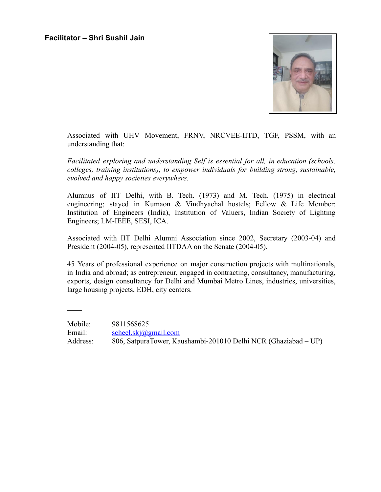

Associated with UHV Movement, FRNV, NRCVEE-IITD, TGF, PSSM, with an understanding that:

*Facilitated exploring and understanding Self is essential for all, in education (schools, colleges, training institutions), to empower individuals for building strong, sustainable, evolved and happy societies everywhere*.

Alumnus of IIT Delhi, with B. Tech. (1973) and M. Tech. (1975) in electrical engineering; stayed in Kumaon & Vindhyachal hostels; Fellow & Life Member: Institution of Engineers (India), Institution of Valuers, Indian Society of Lighting Engineers; LM-IEEE, SESI, ICA.

Associated with IIT Delhi Alumni Association since 2002, Secretary (2003-04) and President (2004-05), represented IITDAA on the Senate (2004-05).

45 Years of professional experience on major construction projects with multinationals, in India and abroad; as entrepreneur, engaged in contracting, consultancy, manufacturing, exports, design consultancy for Delhi and Mumbai Metro Lines, industries, universities, large housing projects, EDH, city centers.

 $\mathcal{L}_\text{max} = \mathcal{L}_\text{max} = \mathcal{L}_\text{max} = \mathcal{L}_\text{max} = \mathcal{L}_\text{max} = \mathcal{L}_\text{max} = \mathcal{L}_\text{max} = \mathcal{L}_\text{max} = \mathcal{L}_\text{max} = \mathcal{L}_\text{max} = \mathcal{L}_\text{max} = \mathcal{L}_\text{max} = \mathcal{L}_\text{max} = \mathcal{L}_\text{max} = \mathcal{L}_\text{max} = \mathcal{L}_\text{max} = \mathcal{L}_\text{max} = \mathcal{L}_\text{max} = \mathcal{$ 

 $\overline{\phantom{a}}$ 

Mobile: 9811568625 Email: [scheel.skj@gmail.com](mailto:scheel.skj@gmail.com) Address: 806, SatpuraTower, Kaushambi-201010 Delhi NCR (Ghaziabad – UP)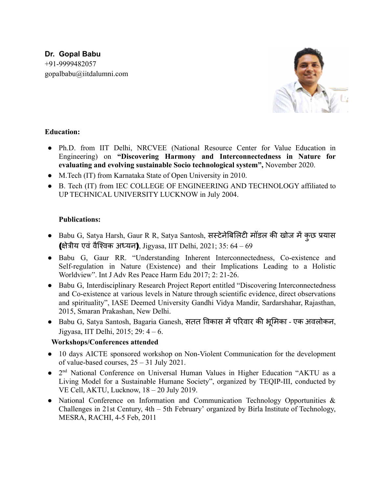## **Dr. Gopal Babu** +91-9999482057 gopalbabu@iitdalumni.com



### **Education:**

- Ph.D. from IIT Delhi, NRCVEE (National Resource Center for Value Education in Engineering) on **"Discovering Harmony and Interconnectedness in Nature for evaluating and evolving sustainable Socio technological system",** November 2020.
- M.Tech (IT) from Karnataka State of Open University in 2010.
- B. Tech (IT) from IEC COLLEGE OF ENGINEERING AND TECHNOLOGY affiliated to UP TECHNICAL UNIVERSITY LUCKNOW in July 2004.

#### **Publications:**

- Babu G, Satya Harsh, Gaur R R, Satya Santosh, सस्टेनेबिलिटी मॉडल की खोज में कुछ प्रयास (क्षेत्रीय एवं वैश्विक अध्यन), Jigyasa, IIT Delhi, 2021; 35: 64 – 69
- Babu G, Gaur RR. "Understanding Inherent Interconnectedness, Co-existence and Self-regulation in Nature (Existence) and their Implications Leading to a Holistic Worldview". Int J Adv Res Peace Harm Edu 2017; 2: 21-26.
- Babu G, Interdisciplinary Research Project Report entitled "Discovering Interconnectedness" and Co-existence at various levels in Nature through scientific evidence, direct observations and spirituality", IASE Deemed University Gandhi Vidya Mandir, Sardarshahar, Rajasthan, 2015, Smaran Prakashan, New Delhi.
- Babu G, Satya Santosh, Bagaria Ganesh, सतत विकास में परिवार की भूमिका एक अवलोकन, Jigyasa, IIT Delhi, 2015; 29: 4 – 6.

### **Workshops/Conferences attended**

- 10 days AICTE sponsored workshop on Non-Violent Communication for the development of value-based courses, 25 – 31 July 2021.
- 2<sup>nd</sup> National Conference on Universal Human Values in Higher Education "AKTU as a Living Model for a Sustainable Humane Society", organized by TEQIP-III, conducted by VE Cell, AKTU, Lucknow, 18 – 20 July 2019.
- National Conference on Information and Communication Technology Opportunities & Challenges in 21st Century, 4th – 5th February' organized by Birla Institute of Technology, MESRA, RACHI, 4-5 Feb, 2011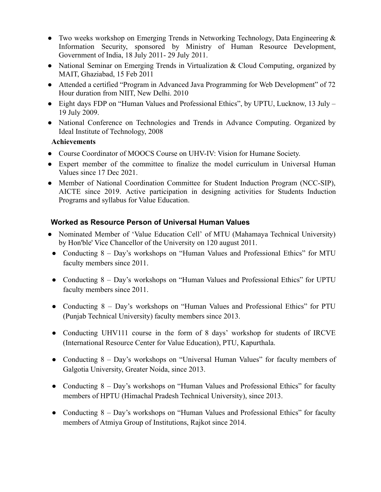- Two weeks workshop on Emerging Trends in Networking Technology, Data Engineering & Information Security, sponsored by Ministry of Human Resource Development, Government of India, 18 July 2011- 29 July 2011.
- National Seminar on Emerging Trends in Virtualization & Cloud Computing, organized by MAIT, Ghaziabad, 15 Feb 2011
- Attended a certified "Program in Advanced Java Programming for Web Development" of 72 Hour duration from NIIT, New Delhi. 2010
- Eight days FDP on "Human Values and Professional Ethics", by UPTU, Lucknow, 13 July 19 July 2009.
- National Conference on Technologies and Trends in Advance Computing. Organized by Ideal Institute of Technology, 2008

#### **Achievements**

- Course Coordinator of MOOCS Course on UHV-IV: Vision for Humane Society.
- Expert member of the committee to finalize the model curriculum in Universal Human Values since 17 Dec 2021.
- Member of National Coordination Committee for Student Induction Program (NCC-SIP), AICTE since 2019. Active participation in designing activities for Students Induction Programs and syllabus for Value Education.

## **Worked as Resource Person of Universal Human Values**

- Nominated Member of 'Value Education Cell' of MTU (Mahamaya Technical University) by Hon'ble' Vice Chancellor of the University on 120 august 2011.
- Conducting 8 Day's workshops on "Human Values and Professional Ethics" for MTU faculty members since 2011.
- Conducting 8 Day's workshops on "Human Values and Professional Ethics" for UPTU faculty members since 2011.
- Conducting 8 Day's workshops on "Human Values and Professional Ethics" for PTU (Punjab Technical University) faculty members since 2013.
- Conducting UHV111 course in the form of 8 days' workshop for students of IRCVE (International Resource Center for Value Education), PTU, Kapurthala.
- Conducting 8 Day's workshops on "Universal Human Values" for faculty members of Galgotia University, Greater Noida, since 2013.
- Conducting 8 Day's workshops on "Human Values and Professional Ethics" for faculty members of HPTU (Himachal Pradesh Technical University), since 2013.
- Conducting 8 Day's workshops on "Human Values and Professional Ethics" for faculty members of Atmiya Group of Institutions, Rajkot since 2014.